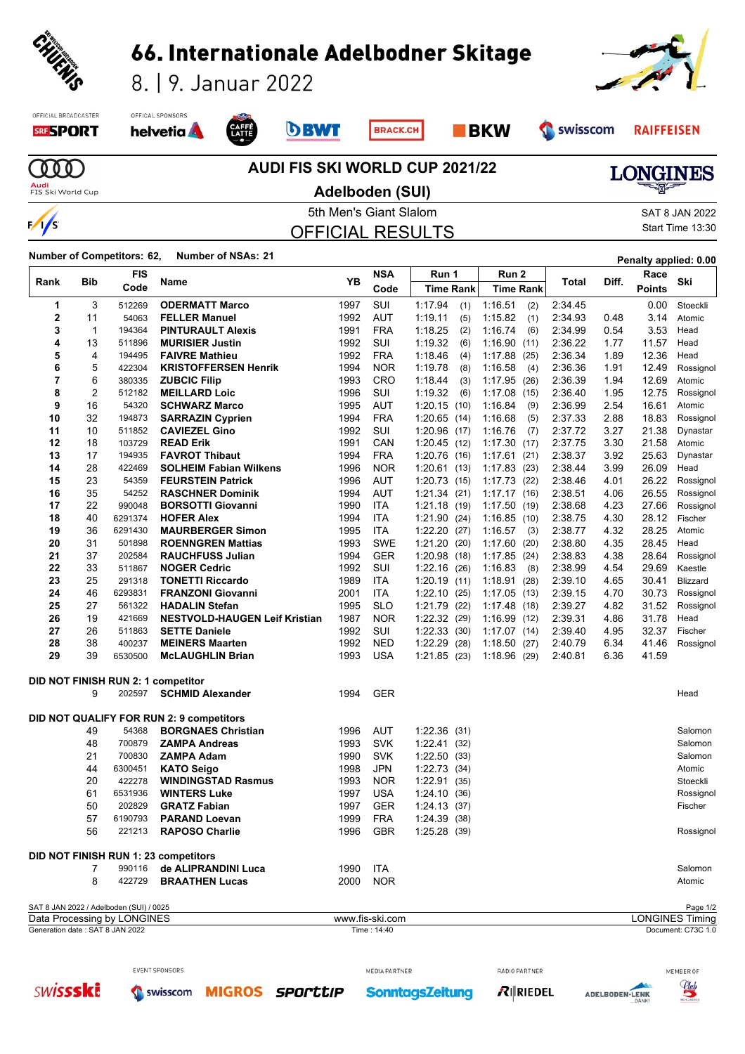

| 1                                                              | 3              | 512269                                  | <b>ODERMATT Marco</b>                    | 1997 | SUI             | 1:17.94        | (1)  | 1:16.51         | (2)<br>2:34.45 |      | 0.00  | Stoeckli                           |
|----------------------------------------------------------------|----------------|-----------------------------------------|------------------------------------------|------|-----------------|----------------|------|-----------------|----------------|------|-------|------------------------------------|
| $\overline{2}$                                                 | 11             | 54063                                   | <b>FELLER Manuel</b>                     | 1992 | <b>AUT</b>      | 1:19.11        | (5)  | 1:15.82         | 2:34.93<br>(1) | 0.48 | 3.14  | Atomic                             |
| 3                                                              | $\mathbf{1}$   | 194364                                  | <b>PINTURAULT Alexis</b>                 | 1991 | <b>FRA</b>      | 1:18.25        | (2)  | 1:16.74         | 2:34.99<br>(6) | 0.54 | 3.53  | Head                               |
| 4                                                              | 13             | 511896                                  | <b>MURISIER Justin</b>                   | 1992 | SUI             | 1:19.32        | (6)  | 1:16.90<br>(11) | 2:36.22        | 1.77 | 11.57 | Head                               |
| 5                                                              | 4              | 194495                                  | <b>FAIVRE Mathieu</b>                    | 1992 | <b>FRA</b>      | 1:18.46        | (4)  | 1:17.88(25)     | 2:36.34        | 1.89 | 12.36 | Head                               |
| 6                                                              | 5              | 422304                                  | <b>KRISTOFFERSEN Henrik</b>              | 1994 | <b>NOR</b>      | 1:19.78        | (8)  | 1:16.58         | 2:36.36<br>(4) | 1.91 | 12.49 | Rossignol                          |
| 7                                                              | 6              | 380335                                  | <b>ZUBCIC Filip</b>                      | 1993 | CRO             | 1:18.44        | (3)  | 1:17.95(26)     | 2:36.39        | 1.94 | 12.69 | Atomic                             |
| 8                                                              | $\overline{2}$ | 512182                                  | <b>MEILLARD Loic</b>                     | 1996 | <b>SUI</b>      | 1:19.32        | (6)  | 1:17.08<br>(15) | 2:36.40        | 1.95 | 12.75 | Rossignol                          |
| 9                                                              | 16             | 54320                                   | <b>SCHWARZ Marco</b>                     | 1995 | <b>AUT</b>      | 1:20.15(10)    |      | 1:16.84         | 2:36.99<br>(9) | 2.54 | 16.61 | Atomic                             |
| 10                                                             | 32             | 194873                                  |                                          | 1994 | <b>FRA</b>      |                |      |                 |                | 2.88 | 18.83 |                                    |
|                                                                |                |                                         | <b>SARRAZIN Cyprien</b>                  |      |                 | $1:20.65$ (14) |      | 1:16.68         | 2:37.33<br>(5) |      |       | Rossignol                          |
| 11                                                             | 10             | 511852                                  | <b>CAVIEZEL Gino</b>                     | 1992 | <b>SUI</b>      | $1:20.96$ (17) |      | 1:16.76         | 2:37.72<br>(7) | 3.27 | 21.38 | Dynastar                           |
| 12                                                             | 18             | 103729                                  | <b>READ Erik</b>                         | 1991 | CAN             | 1:20.45        | (12) | 1:17.30<br>(17) | 2:37.75        | 3.30 | 21.58 | Atomic                             |
| 13                                                             | 17             | 194935                                  | <b>FAVROT Thibaut</b>                    | 1994 | <b>FRA</b>      | 1:20.76        | (16) | 1:17.61(21)     | 2:38.37        | 3.92 | 25.63 | Dynastar                           |
| 14                                                             | 28             | 422469                                  | <b>SOLHEIM Fabian Wilkens</b>            | 1996 | <b>NOR</b>      | $1:20.61$ (13) |      | 1:17.83(23)     | 2:38.44        | 3.99 | 26.09 | Head                               |
| 15                                                             | 23             | 54359                                   | <b>FEURSTEIN Patrick</b>                 | 1996 | <b>AUT</b>      | 1:20.73(15)    |      | 1:17.73(22)     | 2:38.46        | 4.01 | 26.22 | Rossignol                          |
| 16                                                             | 35             | 54252                                   | <b>RASCHNER Dominik</b>                  | 1994 | <b>AUT</b>      | 1:21.34(21)    |      | 1:17.17(16)     | 2:38.51        | 4.06 | 26.55 | Rossignol                          |
| 17                                                             | 22             | 990048                                  | <b>BORSOTTI Giovanni</b>                 | 1990 | <b>ITA</b>      | 1:21.18        | (19) | 1:17.50(19)     | 2:38.68        | 4.23 | 27.66 | Rossignol                          |
| 18                                                             | 40             | 6291374                                 | <b>HOFER Alex</b>                        | 1994 | <b>ITA</b>      | 1:21.90(24)    |      | 1:16.85(10)     | 2:38.75        | 4.30 | 28.12 | Fischer                            |
| 19                                                             | 36             | 6291430                                 | <b>MAURBERGER Simon</b>                  | 1995 | <b>ITA</b>      | 1:22.20        | (27) | 1:16.57         | 2:38.77<br>(3) | 4.32 | 28.25 | Atomic                             |
| 20                                                             | 31             | 501898                                  | <b>ROENNGREN Mattias</b>                 | 1993 | <b>SWE</b>      | 1:21.20        | (20) | 1:17.60<br>(20) | 2:38.80        | 4.35 | 28.45 | Head                               |
| 21                                                             | 37             | 202584                                  | <b>RAUCHFUSS Julian</b>                  | 1994 | <b>GER</b>      | 1:20.98        | (18) | 1:17.85(24)     | 2:38.83        | 4.38 | 28.64 | Rossignol                          |
| 22                                                             | 33             | 511867                                  | <b>NOGER Cedric</b>                      | 1992 | SUI             | 1:22.16        | (26) | 1:16.83         | 2:38.99<br>(8) | 4.54 | 29.69 | Kaestle                            |
| 23                                                             | 25             | 291318                                  | <b>TONETTI Riccardo</b>                  | 1989 | <b>ITA</b>      | 1:20.19        | (11) | 1:18.91(28)     | 2:39.10        | 4.65 | 30.41 | Blizzard                           |
| 24                                                             | 46             | 6293831                                 | <b>FRANZONI Giovanni</b>                 | 2001 | <b>ITA</b>      | 1:22.10        | (25) | 1:17.05(13)     | 2:39.15        | 4.70 | 30.73 | Rossignol                          |
| 25                                                             | 27             | 561322                                  | <b>HADALIN Stefan</b>                    | 1995 | <b>SLO</b>      | 1:21.79        |      |                 | 2:39.27        | 4.82 | 31.52 |                                    |
|                                                                | 19             |                                         |                                          |      |                 |                | (22) | 1:17.48 (18)    |                |      |       | Rossignol                          |
| 26                                                             |                | 421669                                  | <b>NESTVOLD-HAUGEN Leif Kristian</b>     | 1987 | <b>NOR</b>      | 1:22.32        | (29) | 1:16.99(12)     | 2:39.31        | 4.86 | 31.78 | Head                               |
| 27                                                             | 26             | 511863                                  | <b>SETTE Daniele</b>                     | 1992 | SUI             | 1:22.33        | (30) | 1:17.07(14)     | 2:39.40        | 4.95 | 32.37 | Fischer                            |
| 28                                                             | 38             | 400237                                  | <b>MEINERS Maarten</b>                   | 1992 | <b>NED</b>      | 1:22.29        | (28) | 1:18.50(27)     | 2:40.79        | 6.34 | 41.46 | Rossignol                          |
| 29                                                             | 39             | 6530500                                 | <b>McLAUGHLIN Brian</b>                  | 1993 | <b>USA</b>      | 1:21.85 (23)   |      | 1:18.96(29)     | 2:40.81        | 6.36 | 41.59 |                                    |
|                                                                |                |                                         | DID NOT FINISH RUN 2: 1 competitor       |      |                 |                |      |                 |                |      |       |                                    |
|                                                                | 9              | 202597                                  | <b>SCHMID Alexander</b>                  | 1994 | <b>GER</b>      |                |      |                 |                |      |       | Head                               |
|                                                                |                |                                         |                                          |      |                 |                |      |                 |                |      |       |                                    |
|                                                                |                |                                         | DID NOT QUALIFY FOR RUN 2: 9 competitors |      |                 |                |      |                 |                |      |       |                                    |
|                                                                | 49             | 54368                                   | <b>BORGNAES Christian</b>                | 1996 | <b>AUT</b>      | 1:22.36        | (31) |                 |                |      |       | Salomon                            |
|                                                                | 48             | 700879                                  | <b>ZAMPA Andreas</b>                     | 1993 | <b>SVK</b>      | 1:22.41(32)    |      |                 |                |      |       | Salomon                            |
|                                                                | 21             | 700830                                  | <b>ZAMPA Adam</b>                        | 1990 | <b>SVK</b>      | $1:22.50$ (33) |      |                 |                |      |       | Salomon                            |
|                                                                | 44             | 6300451                                 | <b>KATO Seigo</b>                        | 1998 | <b>JPN</b>      | 1:22.73(34)    |      |                 |                |      |       | Atomic                             |
|                                                                | 20             | 422278                                  | <b>WINDINGSTAD Rasmus</b>                | 1993 | <b>NOR</b>      | 1:22.91(35)    |      |                 |                |      |       | Stoeckli                           |
|                                                                | 61             | 6531936                                 | <b>WINTERS Luke</b>                      | 1997 | <b>USA</b>      | 1:24.10(36)    |      |                 |                |      |       | Rossignol                          |
|                                                                | 50             | 202829                                  | <b>GRATZ Fabian</b>                      | 1997 | <b>GER</b>      | 1:24.13(37)    |      |                 |                |      |       | Fischer                            |
|                                                                | 57             | 6190793                                 | <b>PARAND Loevan</b>                     | 1999 | <b>FRA</b>      | 1.24.39        | (38) |                 |                |      |       |                                    |
|                                                                | 56             | 221213                                  | <b>RAPOSO Charlie</b>                    | 1996 | <b>GBR</b>      | 1:25.28(39)    |      |                 |                |      |       | Rossignol                          |
|                                                                |                |                                         |                                          |      |                 |                |      |                 |                |      |       |                                    |
|                                                                |                |                                         | DID NOT FINISH RUN 1: 23 competitors     |      |                 |                |      |                 |                |      |       |                                    |
|                                                                | 7              | 990116                                  | de ALIPRANDINI Luca                      | 1990 | <b>ITA</b>      |                |      |                 |                |      |       | Salomon                            |
|                                                                | 8              | 422729                                  | <b>BRAATHEN Lucas</b>                    | 2000 | <b>NOR</b>      |                |      |                 |                |      |       | Atomic                             |
|                                                                |                |                                         |                                          |      |                 |                |      |                 |                |      |       |                                    |
|                                                                |                | SAT 8 JAN 2022 / Adelboden (SUI) / 0025 |                                          |      | www.fis-ski.com |                |      |                 |                |      |       | Page 1/2<br><b>LONGINES Timing</b> |
| Data Processing by LONGINES<br>Generation date: SAT 8 JAN 2022 |                |                                         |                                          |      | Time: 14:40     |                |      |                 |                |      |       | Document: C73C 1.0                 |
|                                                                |                |                                         |                                          |      |                 |                |      |                 |                |      |       |                                    |

**SWISSSKE** swisscom

EVENT SPONSORS

**MIGROS SPOrttIP** 

MEDIA PARTNER

**SonntagsZeitung** 

 $R$  RIEDEL

RADIO PARTNER



MEMBER OF <u>Club</u>